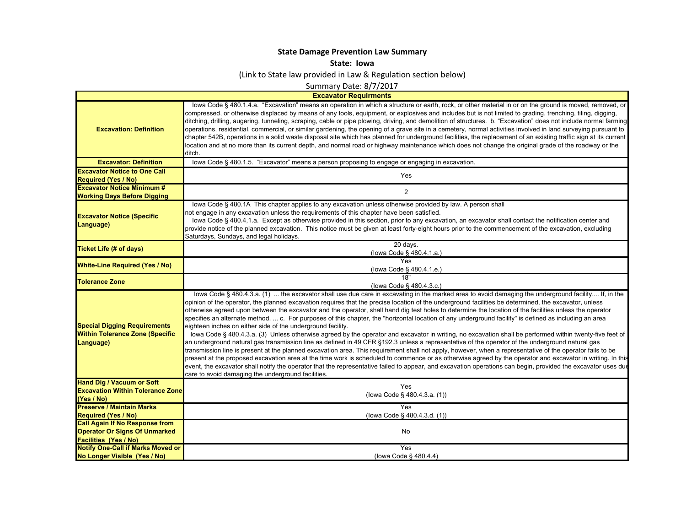## **State Damage Prevention Law Summary**

**State: Iowa**

(Link to State law provided in Law & Regulation section below)

Summary Date: 8/7/2017

**Excavator Requirments**

 $\mathsf{L}$ 

| <b>Excavation: Definition</b>                                                              | lowa Code § 480.1.4.a. "Excavation" means an operation in which a structure or earth, rock, or other material in or on the ground is moved, removed, or<br>compressed, or otherwise displaced by means of any tools, equipment, or explosives and includes but is not limited to grading, trenching, tiling, digging,<br>ditching, drilling, augering, tunneling, scraping, cable or pipe plowing, driving, and demolition of structures. b. "Excavation" does not include normal farming<br>operations, residential, commercial, or similar gardening, the opening of a grave site in a cemetery, normal activities involved in land surveying pursuant to<br>chapter 542B, operations in a solid waste disposal site which has planned for underground facilities, the replacement of an existing traffic sign at its current<br>location and at no more than its current depth, and normal road or highway maintenance which does not change the original grade of the roadway or the<br>ditch.                                                                                                                                                                                                                                                                                                                                                                                                                                                                                                                                                                |
|--------------------------------------------------------------------------------------------|-------------------------------------------------------------------------------------------------------------------------------------------------------------------------------------------------------------------------------------------------------------------------------------------------------------------------------------------------------------------------------------------------------------------------------------------------------------------------------------------------------------------------------------------------------------------------------------------------------------------------------------------------------------------------------------------------------------------------------------------------------------------------------------------------------------------------------------------------------------------------------------------------------------------------------------------------------------------------------------------------------------------------------------------------------------------------------------------------------------------------------------------------------------------------------------------------------------------------------------------------------------------------------------------------------------------------------------------------------------------------------------------------------------------------------------------------------------------------------------------------------------------------------------------------------------------|
| <b>Excavator: Definition</b>                                                               | lowa Code § 480.1.5. "Excavator" means a person proposing to engage or engaging in excavation.                                                                                                                                                                                                                                                                                                                                                                                                                                                                                                                                                                                                                                                                                                                                                                                                                                                                                                                                                                                                                                                                                                                                                                                                                                                                                                                                                                                                                                                                    |
| <b>Excavator Notice to One Call</b>                                                        | Yes                                                                                                                                                                                                                                                                                                                                                                                                                                                                                                                                                                                                                                                                                                                                                                                                                                                                                                                                                                                                                                                                                                                                                                                                                                                                                                                                                                                                                                                                                                                                                               |
| <b>Required (Yes / No)</b>                                                                 |                                                                                                                                                                                                                                                                                                                                                                                                                                                                                                                                                                                                                                                                                                                                                                                                                                                                                                                                                                                                                                                                                                                                                                                                                                                                                                                                                                                                                                                                                                                                                                   |
| <b>Excavator Notice Minimum #</b>                                                          | $\overline{2}$                                                                                                                                                                                                                                                                                                                                                                                                                                                                                                                                                                                                                                                                                                                                                                                                                                                                                                                                                                                                                                                                                                                                                                                                                                                                                                                                                                                                                                                                                                                                                    |
| <b>Working Days Before Digging</b>                                                         |                                                                                                                                                                                                                                                                                                                                                                                                                                                                                                                                                                                                                                                                                                                                                                                                                                                                                                                                                                                                                                                                                                                                                                                                                                                                                                                                                                                                                                                                                                                                                                   |
| <b>Excavator Notice (Specific</b><br>Language)                                             | lowa Code § 480.1A This chapter applies to any excavation unless otherwise provided by law. A person shall<br>not engage in any excavation unless the requirements of this chapter have been satisfied.<br>lowa Code § 480.4,1.a. Except as otherwise provided in this section, prior to any excavation, an excavator shall contact the notification center and<br>provide notice of the planned excavation. This notice must be given at least forty-eight hours prior to the commencement of the excavation, excluding<br>Saturdays, Sundays, and legal holidays.                                                                                                                                                                                                                                                                                                                                                                                                                                                                                                                                                                                                                                                                                                                                                                                                                                                                                                                                                                                               |
| Ticket Life (# of days)                                                                    | 20 days.<br>(lowa Code § 480.4.1.a.)                                                                                                                                                                                                                                                                                                                                                                                                                                                                                                                                                                                                                                                                                                                                                                                                                                                                                                                                                                                                                                                                                                                                                                                                                                                                                                                                                                                                                                                                                                                              |
| <b>White-Line Required (Yes / No)</b>                                                      | Yes<br>(lowa Code § 480.4.1.e.)                                                                                                                                                                                                                                                                                                                                                                                                                                                                                                                                                                                                                                                                                                                                                                                                                                                                                                                                                                                                                                                                                                                                                                                                                                                                                                                                                                                                                                                                                                                                   |
| <b>Tolerance Zone</b>                                                                      | 18"<br>(lowa Code § 480.4.3.c.)                                                                                                                                                                                                                                                                                                                                                                                                                                                                                                                                                                                                                                                                                                                                                                                                                                                                                                                                                                                                                                                                                                                                                                                                                                                                                                                                                                                                                                                                                                                                   |
| <b>Special Digging Requirements</b><br><b>Within Tolerance Zone (Specific</b><br>Language) | lowa Code § 480.4.3.a. (1)  the excavator shall use due care in excavating in the marked area to avoid damaging the underground facility If, in the<br>opinion of the operator, the planned excavation requires that the precise location of the underground facilities be determined, the excavator, unless<br>otherwise agreed upon between the excavator and the operator, shall hand dig test holes to determine the location of the facilities unless the operator<br>specifies an alternate method.  c. For purposes of this chapter, the "horizontal location of any underground facility" is defined as including an area<br>eighteen inches on either side of the underground facility.<br>lowa Code § 480.4.3.a. (3) Unless otherwise agreed by the operator and excavator in writing, no excavation shall be performed within twenty-five feet of<br>an underground natural gas transmission line as defined in 49 CFR §192.3 unless a representative of the operator of the underground natural gas<br>transmission line is present at the planned excavation area. This requirement shall not apply, however, when a representative of the operator fails to be<br>present at the proposed excavation area at the time work is scheduled to commence or as otherwise agreed by the operator and excavator in writing. In this<br>event, the excavator shall notify the operator that the representative failed to appear, and excavation operations can begin, provided the excavator uses due<br>care to avoid damaging the underground facilities. |
| <b>Hand Dig / Vacuum or Soft</b>                                                           | Yes                                                                                                                                                                                                                                                                                                                                                                                                                                                                                                                                                                                                                                                                                                                                                                                                                                                                                                                                                                                                                                                                                                                                                                                                                                                                                                                                                                                                                                                                                                                                                               |
| <b>Excavation Within Tolerance Zone</b>                                                    | (lowa Code § 480.4.3.a. (1))                                                                                                                                                                                                                                                                                                                                                                                                                                                                                                                                                                                                                                                                                                                                                                                                                                                                                                                                                                                                                                                                                                                                                                                                                                                                                                                                                                                                                                                                                                                                      |
| (Yes / No)                                                                                 |                                                                                                                                                                                                                                                                                                                                                                                                                                                                                                                                                                                                                                                                                                                                                                                                                                                                                                                                                                                                                                                                                                                                                                                                                                                                                                                                                                                                                                                                                                                                                                   |
| <b>Preserve / Maintain Marks</b>                                                           | <b>Yes</b>                                                                                                                                                                                                                                                                                                                                                                                                                                                                                                                                                                                                                                                                                                                                                                                                                                                                                                                                                                                                                                                                                                                                                                                                                                                                                                                                                                                                                                                                                                                                                        |
| <b>Required (Yes / No)</b>                                                                 | (lowa Code § 480.4.3.d. (1))                                                                                                                                                                                                                                                                                                                                                                                                                                                                                                                                                                                                                                                                                                                                                                                                                                                                                                                                                                                                                                                                                                                                                                                                                                                                                                                                                                                                                                                                                                                                      |
| <b>Call Again If No Response from</b>                                                      |                                                                                                                                                                                                                                                                                                                                                                                                                                                                                                                                                                                                                                                                                                                                                                                                                                                                                                                                                                                                                                                                                                                                                                                                                                                                                                                                                                                                                                                                                                                                                                   |
| <b>Operator Or Signs Of Unmarked</b>                                                       | No                                                                                                                                                                                                                                                                                                                                                                                                                                                                                                                                                                                                                                                                                                                                                                                                                                                                                                                                                                                                                                                                                                                                                                                                                                                                                                                                                                                                                                                                                                                                                                |
| <b>Facilities (Yes / No)</b>                                                               |                                                                                                                                                                                                                                                                                                                                                                                                                                                                                                                                                                                                                                                                                                                                                                                                                                                                                                                                                                                                                                                                                                                                                                                                                                                                                                                                                                                                                                                                                                                                                                   |
| <b>Notify One-Call if Marks Moved or</b>                                                   | Yes                                                                                                                                                                                                                                                                                                                                                                                                                                                                                                                                                                                                                                                                                                                                                                                                                                                                                                                                                                                                                                                                                                                                                                                                                                                                                                                                                                                                                                                                                                                                                               |
| No Longer Visible (Yes / No)                                                               | (lowa Code § 480.4.4)                                                                                                                                                                                                                                                                                                                                                                                                                                                                                                                                                                                                                                                                                                                                                                                                                                                                                                                                                                                                                                                                                                                                                                                                                                                                                                                                                                                                                                                                                                                                             |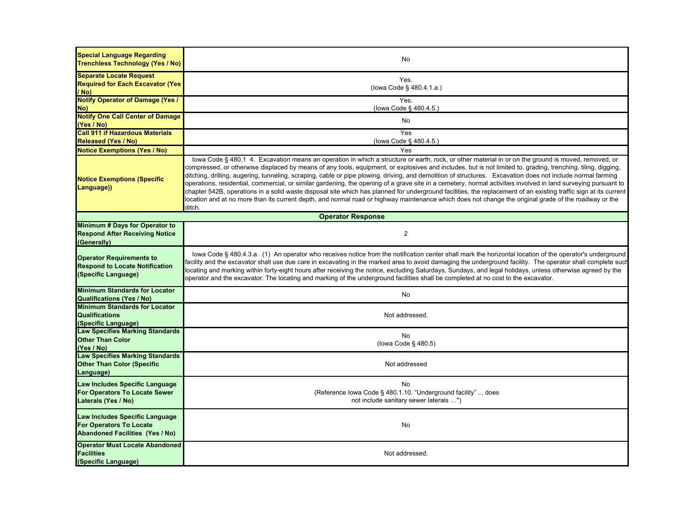| <b>Special Language Regarding</b><br><b>Trenchless Technology (Yes / No)</b>                               | No                                                                                                                                                                                                                                                                                                                                                                                                                                                                                                                                                                                                                                                                                                                                                                                                                                                                                                                                                                                          |
|------------------------------------------------------------------------------------------------------------|---------------------------------------------------------------------------------------------------------------------------------------------------------------------------------------------------------------------------------------------------------------------------------------------------------------------------------------------------------------------------------------------------------------------------------------------------------------------------------------------------------------------------------------------------------------------------------------------------------------------------------------------------------------------------------------------------------------------------------------------------------------------------------------------------------------------------------------------------------------------------------------------------------------------------------------------------------------------------------------------|
| <b>Separate Locate Request</b><br><b>Required for Each Excavator (Yes)</b><br>/ No)                        | Yes.<br>(lowa Code § 480.4.1.a.)                                                                                                                                                                                                                                                                                                                                                                                                                                                                                                                                                                                                                                                                                                                                                                                                                                                                                                                                                            |
| <b>Notify Operator of Damage (Yes /</b><br>No)                                                             | Yes.<br>(lowa Code § 480.4.5.)                                                                                                                                                                                                                                                                                                                                                                                                                                                                                                                                                                                                                                                                                                                                                                                                                                                                                                                                                              |
| <b>Notify One Call Center of Damage</b><br>(Yes / No)                                                      | No                                                                                                                                                                                                                                                                                                                                                                                                                                                                                                                                                                                                                                                                                                                                                                                                                                                                                                                                                                                          |
| <b>Call 911 if Hazardous Materials</b><br><b>Released (Yes / No)</b>                                       | Yes<br>(lowa Code § 480.4.5.)                                                                                                                                                                                                                                                                                                                                                                                                                                                                                                                                                                                                                                                                                                                                                                                                                                                                                                                                                               |
| <b>Notice Exemptions (Yes / No)</b>                                                                        | Yes                                                                                                                                                                                                                                                                                                                                                                                                                                                                                                                                                                                                                                                                                                                                                                                                                                                                                                                                                                                         |
| <b>Notice Exemptions (Specific</b><br>Language))                                                           | lowa Code § 480.1 4. Excavation means an operation in which a structure or earth, rock, or other material in or on the ground is moved, removed, or<br>compressed, or otherwise displaced by means of any tools, equipment, or explosives and includes, but is not limited to, grading, trenching, tiling, digging,<br>ditching, drilling, augering, tunneling, scraping, cable or pipe plowing, driving, and demolition of structures. Excavation does not include normal farming<br>operations, residential, commercial, or similar gardening, the opening of a grave site in a cemetery, normal activities involved in land surveying pursuant to<br>chapter 542B, operations in a solid waste disposal site which has planned for underground facilities, the replacement of an existing traffic sign at its current<br>location and at no more than its current depth, and normal road or highway maintenance which does not change the original grade of the roadway or the<br>ditch. |
|                                                                                                            | <b>Operator Response</b>                                                                                                                                                                                                                                                                                                                                                                                                                                                                                                                                                                                                                                                                                                                                                                                                                                                                                                                                                                    |
| Minimum # Days for Operator to<br><b>Respond After Receiving Notice</b><br>(Generally)                     | $\overline{c}$                                                                                                                                                                                                                                                                                                                                                                                                                                                                                                                                                                                                                                                                                                                                                                                                                                                                                                                                                                              |
| <b>Operator Requirements to</b><br><b>Respond to Locate Notification</b><br>(Specific Language)            | lowa Code § 480.4.3.a. (1) An operator who receives notice from the notification center shall mark the horizontal location of the operator's underground<br>facility and the excavator shall use due care in excavating in the marked area to avoid damaging the underground facility. The operator shall complete such<br>locating and marking within forty-eight hours after receiving the notice, excluding Saturdays, Sundays, and legal holidays, unless otherwise agreed by the<br>operator and the excavator. The locating and marking of the underground facilities shall be completed at no cost to the excavator.                                                                                                                                                                                                                                                                                                                                                                 |
| <b>Minimum Standards for Locator</b><br><b>Qualifications (Yes / No)</b>                                   | No                                                                                                                                                                                                                                                                                                                                                                                                                                                                                                                                                                                                                                                                                                                                                                                                                                                                                                                                                                                          |
| <b>Minimum Standards for Locator</b><br><b>Qualifications</b><br>(Specific Language)                       | Not addressed.                                                                                                                                                                                                                                                                                                                                                                                                                                                                                                                                                                                                                                                                                                                                                                                                                                                                                                                                                                              |
| <b>Law Specifies Marking Standards</b><br><b>Other Than Color</b><br>(Yes / No)                            | <b>No</b><br>(lowa Code § 480.5)                                                                                                                                                                                                                                                                                                                                                                                                                                                                                                                                                                                                                                                                                                                                                                                                                                                                                                                                                            |
| <b>Law Specifies Marking Standards</b><br><b>Other Than Color (Specific</b><br>Language)                   | Not addressed                                                                                                                                                                                                                                                                                                                                                                                                                                                                                                                                                                                                                                                                                                                                                                                                                                                                                                                                                                               |
| Law Includes Specific Language<br>For Operators To Locate Sewer<br>Laterals (Yes / No)                     | No<br>(Reference Iowa Code § 480.1.10. "Underground facility"  does<br>not include sanitary sewer laterals ")                                                                                                                                                                                                                                                                                                                                                                                                                                                                                                                                                                                                                                                                                                                                                                                                                                                                               |
| Law Includes Specific Language<br><b>For Operators To Locate</b><br><b>Abandoned Facilities (Yes / No)</b> | No                                                                                                                                                                                                                                                                                                                                                                                                                                                                                                                                                                                                                                                                                                                                                                                                                                                                                                                                                                                          |
| <b>Operator Must Locate Abandoned</b><br><b>Facilities</b><br>(Specific Language)                          | Not addressed.                                                                                                                                                                                                                                                                                                                                                                                                                                                                                                                                                                                                                                                                                                                                                                                                                                                                                                                                                                              |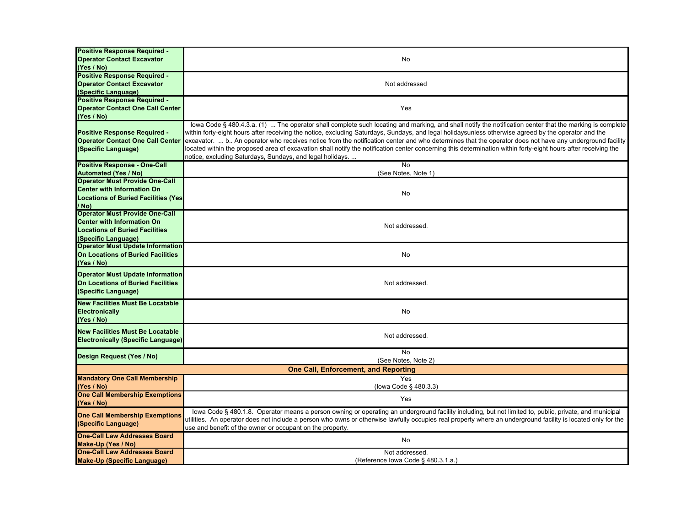| <b>Positive Response Required -</b>         |                                                                                                                                                                |
|---------------------------------------------|----------------------------------------------------------------------------------------------------------------------------------------------------------------|
| <b>Operator Contact Excavator</b>           | No                                                                                                                                                             |
| (Yes / No)                                  |                                                                                                                                                                |
| <b>Positive Response Required -</b>         |                                                                                                                                                                |
| <b>Operator Contact Excavator</b>           | Not addressed                                                                                                                                                  |
| (Specific Language)                         |                                                                                                                                                                |
| <b>Positive Response Required -</b>         |                                                                                                                                                                |
| <b>Operator Contact One Call Center</b>     | Yes                                                                                                                                                            |
| (Yes / No)                                  |                                                                                                                                                                |
|                                             | lowa Code § 480.4.3.a. (1)  The operator shall complete such locating and marking, and shall notify the notification center that the marking is complete       |
| <b>Positive Response Required -</b>         | within forty-eight hours after receiving the notice, excluding Saturdays, Sundays, and legal holidaysunless otherwise agreed by the operator and the           |
| <b>Operator Contact One Call Center</b>     | excavator.  b An operator who receives notice from the notification center and who determines that the operator does not have any underground facility         |
| (Specific Language)                         | located within the proposed area of excavation shall notify the notification center concerning this determination within forty-eight hours after receiving the |
|                                             | notice, excluding Saturdays, Sundays, and legal holidays.                                                                                                      |
| <b>Positive Response - One-Call</b>         | $\overline{N}$                                                                                                                                                 |
| <b>Automated (Yes / No)</b>                 | (See Notes, Note 1)                                                                                                                                            |
| <b>Operator Must Provide One-Call</b>       |                                                                                                                                                                |
| <b>Center with Information On</b>           | No                                                                                                                                                             |
| <b>Locations of Buried Facilities (Yes)</b> |                                                                                                                                                                |
| / No)                                       |                                                                                                                                                                |
| <b>Operator Must Provide One-Call</b>       |                                                                                                                                                                |
| <b>Center with Information On</b>           | Not addressed.                                                                                                                                                 |
| <b>Locations of Buried Facilities</b>       |                                                                                                                                                                |
| (Specific Language)                         |                                                                                                                                                                |
| <b>Operator Must Update Information</b>     |                                                                                                                                                                |
| <b>On Locations of Buried Facilities</b>    | No                                                                                                                                                             |
| (Yes / No)                                  |                                                                                                                                                                |
| <b>Operator Must Update Information</b>     |                                                                                                                                                                |
| On Locations of Buried Facilities           | Not addressed.                                                                                                                                                 |
| (Specific Language)                         |                                                                                                                                                                |
|                                             |                                                                                                                                                                |
| <b>New Facilities Must Be Locatable</b>     |                                                                                                                                                                |
| <b>Electronically</b>                       | No                                                                                                                                                             |
| (Yes / No)                                  |                                                                                                                                                                |
| <b>New Facilities Must Be Locatable</b>     |                                                                                                                                                                |
| <b>Electronically (Specific Language)</b>   | Not addressed.                                                                                                                                                 |
|                                             | <b>No</b>                                                                                                                                                      |
| Design Request (Yes / No)                   | (See Notes, Note 2)                                                                                                                                            |
|                                             |                                                                                                                                                                |
|                                             | One Call, Enforcement, and Reporting                                                                                                                           |
| <b>Mandatory One Call Membership</b>        | Yes                                                                                                                                                            |
| (Yes / No)                                  | (lowa Code § 480.3.3)                                                                                                                                          |
| <b>One Call Membership Exemptions</b>       | Yes                                                                                                                                                            |
| (Yes / No)                                  |                                                                                                                                                                |
| <b>One Call Membership Exemptions</b>       | lowa Code § 480.1.8. Operator means a person owning or operating an underground facility including, but not limited to, public, private, and municipal         |
| (Specific Language)                         | utilities. An operator does not include a person who owns or otherwise lawfully occupies real property where an underground facility is located only for the   |
|                                             | use and benefit of the owner or occupant on the property.                                                                                                      |
| <b>One-Call Law Addresses Board</b>         | <b>No</b>                                                                                                                                                      |
| Make-Up (Yes / No)                          |                                                                                                                                                                |
| <b>One-Call Law Addresses Board</b>         | Not addressed.                                                                                                                                                 |
| <b>Make-Up (Specific Language)</b>          | (Reference Iowa Code § 480.3.1.a.)                                                                                                                             |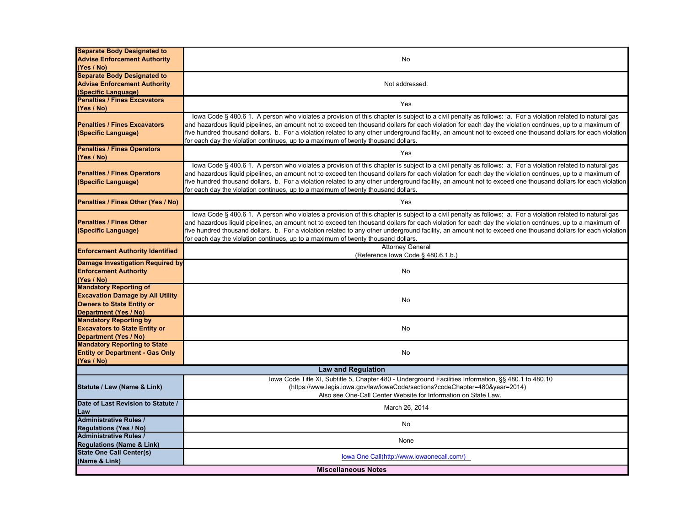| <b>Separate Body Designated to</b>          |                                                                                                                                                              |  |
|---------------------------------------------|--------------------------------------------------------------------------------------------------------------------------------------------------------------|--|
| <b>Advise Enforcement Authority</b>         | No                                                                                                                                                           |  |
| (Yes / No)                                  |                                                                                                                                                              |  |
| <b>Separate Body Designated to</b>          |                                                                                                                                                              |  |
| <b>Advise Enforcement Authority</b>         | Not addressed.                                                                                                                                               |  |
| (Specific Language)                         |                                                                                                                                                              |  |
| <b>Penalties / Fines Excavators</b>         |                                                                                                                                                              |  |
| (Yes / No)                                  | Yes                                                                                                                                                          |  |
|                                             | lowa Code § 480.6 1. A person who violates a provision of this chapter is subject to a civil penalty as follows: a. For a violation related to natural gas   |  |
| <b>Penalties / Fines Excavators</b>         | and hazardous liquid pipelines, an amount not to exceed ten thousand dollars for each violation for each day the violation continues, up to a maximum of     |  |
| (Specific Language)                         | five hundred thousand dollars. b. For a violation related to any other underground facility, an amount not to exceed one thousand dollars for each violation |  |
|                                             | for each day the violation continues, up to a maximum of twenty thousand dollars.                                                                            |  |
| <b>Penalties / Fines Operators</b>          |                                                                                                                                                              |  |
| (Yes / No)                                  | Yes                                                                                                                                                          |  |
|                                             | lowa Code § 480.6 1. A person who violates a provision of this chapter is subject to a civil penalty as follows: a. For a violation related to natural gas   |  |
| <b>Penalties / Fines Operators</b>          | and hazardous liquid pipelines, an amount not to exceed ten thousand dollars for each violation for each day the violation continues, up to a maximum of     |  |
| (Specific Language)                         | five hundred thousand dollars. b. For a violation related to any other underground facility, an amount not to exceed one thousand dollars for each violation |  |
|                                             | for each day the violation continues, up to a maximum of twenty thousand dollars.                                                                            |  |
| Penalties / Fines Other (Yes / No)          | Yes                                                                                                                                                          |  |
|                                             |                                                                                                                                                              |  |
|                                             | lowa Code § 480.6 1. A person who violates a provision of this chapter is subject to a civil penalty as follows: a. For a violation related to natural gas   |  |
| <b>Penalties / Fines Other</b>              | and hazardous liquid pipelines, an amount not to exceed ten thousand dollars for each violation for each day the violation continues, up to a maximum of     |  |
| (Specific Language)                         | five hundred thousand dollars. b. For a violation related to any other underground facility, an amount not to exceed one thousand dollars for each violation |  |
|                                             | for each day the violation continues, up to a maximum of twenty thousand dollars.                                                                            |  |
| <b>Enforcement Authority Identified</b>     | <b>Attorney General</b>                                                                                                                                      |  |
|                                             | (Reference Iowa Code § 480.6.1.b.)                                                                                                                           |  |
| <b>Damage Investigation Required by</b>     |                                                                                                                                                              |  |
| <b>Enforcement Authority</b>                | No                                                                                                                                                           |  |
| (Yes / No)<br><b>Mandatory Reporting of</b> |                                                                                                                                                              |  |
| <b>Excavation Damage by All Utility</b>     |                                                                                                                                                              |  |
| <b>Owners to State Entity or</b>            | No                                                                                                                                                           |  |
| Department (Yes / No)                       |                                                                                                                                                              |  |
| <b>Mandatory Reporting by</b>               |                                                                                                                                                              |  |
| <b>Excavators to State Entity or</b>        | No                                                                                                                                                           |  |
| Department (Yes / No)                       |                                                                                                                                                              |  |
| <b>Mandatory Reporting to State</b>         |                                                                                                                                                              |  |
| <b>Entity or Department - Gas Only</b>      | No                                                                                                                                                           |  |
| (Yes / No)                                  |                                                                                                                                                              |  |
|                                             | <b>Law and Regulation</b>                                                                                                                                    |  |
|                                             | lowa Code Title XI, Subtitle 5, Chapter 480 - Underground Facilities Information, §§ 480.1 to 480.10                                                         |  |
| Statute / Law (Name & Link)                 | (https://www.legis.iowa.gov/law/iowaCode/sections?codeChapter=480&year=2014)                                                                                 |  |
|                                             | Also see One-Call Center Website for Information on State Law.                                                                                               |  |
| Date of Last Revision to Statute /          |                                                                                                                                                              |  |
| Law                                         | March 26, 2014                                                                                                                                               |  |
| <b>Administrative Rules /</b>               |                                                                                                                                                              |  |
| <b>Regulations (Yes / No)</b>               | No                                                                                                                                                           |  |
| <b>Administrative Rules /</b>               | None                                                                                                                                                         |  |
| <b>Regulations (Name &amp; Link)</b>        |                                                                                                                                                              |  |
| <b>State One Call Center(s)</b>             | lowa One Call(http://www.iowaonecall.com/)                                                                                                                   |  |
| (Name & Link)                               |                                                                                                                                                              |  |
| <b>Miscellaneous Notes</b>                  |                                                                                                                                                              |  |